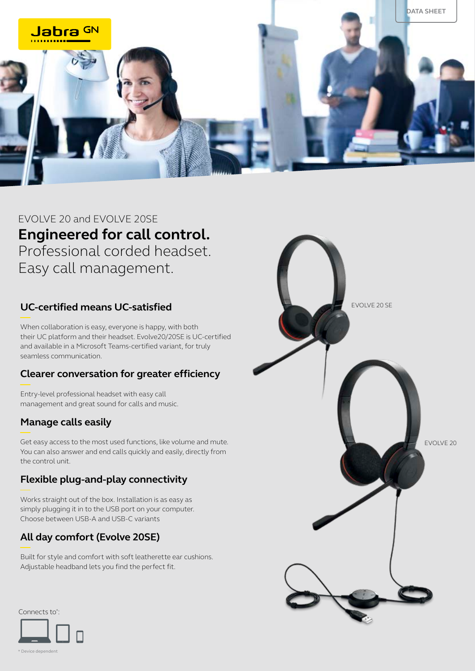

# EVOLVE 20 and EVOLVE 20SE **Engineered for call control.**  Professional corded headset. Easy call management.

## **UC-certified means UC-satisfied**

When collaboration is easy, everyone is happy, with both their UC platform and their headset. Evolve20/20SE is UC-certified and available in a Microsoft Teams-certified variant, for truly seamless communication.

#### **Clearer conversation for greater efficiency**

Entry-level professional headset with easy call management and great sound for calls and music.

### **Manage calls easily**

Get easy access to the most used functions, like volume and mute. You can also answer and end calls quickly and easily, directly from the control unit.

#### **Flexible plug-and-play connectivity**

Works straight out of the box. Installation is as easy as simply plugging it in to the USB port on your computer. Choose between USB-A and USB-C variants

### **All day comfort (Evolve 20SE)**

Built for style and comfort with soft leatherette ear cushions. Adjustable headband lets you find the perfect fit.



Connects to\* :